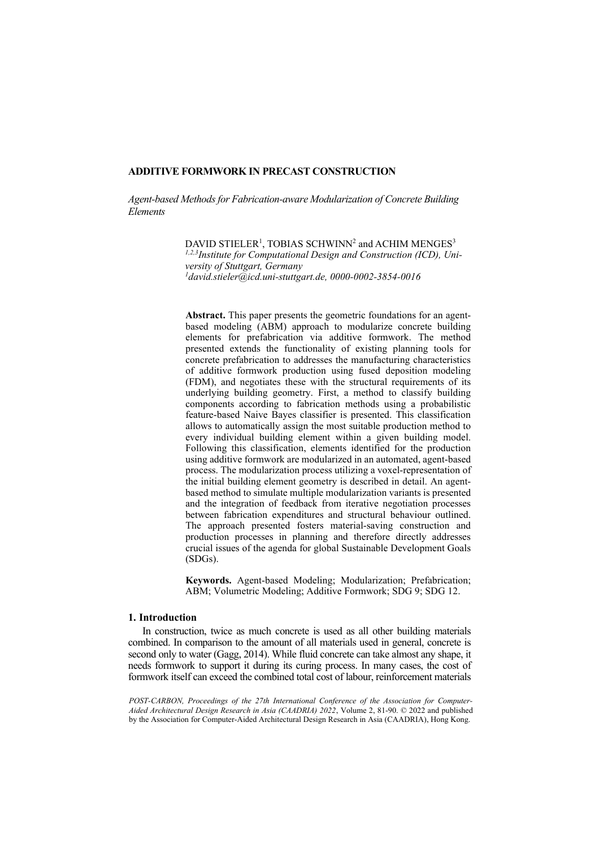# **ADDITIVE FORMWORK IN PRECAST CONSTRUCTION**

*Agent-based Methods for Fabrication-aware Modularization of Concrete Building Elements*

> DAVID STIELER<sup>1</sup>, TOBIAS SCHWINN<sup>2</sup> and ACHIM MENGES<sup>3</sup> *1,2,3Institute for Computational Design and Construction (ICD), University of Stuttgart, Germany 1 [david.stieler@icd.uni-stuttgart.de,](mailto:david.stieler@icd.uni-stuttgart.de) 0000-0002-3854-0016*

**Abstract.** This paper presents the geometric foundations for an agentbased modeling (ABM) approach to modularize concrete building elements for prefabrication via additive formwork. The method presented extends the functionality of existing planning tools for concrete prefabrication to addresses the manufacturing characteristics of additive formwork production using fused deposition modeling (FDM), and negotiates these with the structural requirements of its underlying building geometry. First, a method to classify building components according to fabrication methods using a probabilistic feature-based Naive Bayes classifier is presented. This classification allows to automatically assign the most suitable production method to every individual building element within a given building model. Following this classification, elements identified for the production using additive formwork are modularized in an automated, agent-based process. The modularization process utilizing a voxel-representation of the initial building element geometry is described in detail. An agentbased method to simulate multiple modularization variants is presented and the integration of feedback from iterative negotiation processes between fabrication expenditures and structural behaviour outlined. The approach presented fosters material-saving construction and production processes in planning and therefore directly addresses crucial issues of the agenda for global Sustainable Development Goals (SDGs).

**Keywords.** Agent-based Modeling; Modularization; Prefabrication; ABM; Volumetric Modeling; Additive Formwork; SDG 9; SDG 12.

## **1. Introduction**

In construction, twice as much concrete is used as all other building materials combined. In comparison to the amount of all materials used in general, concrete is second only to water (Gagg, 2014). While fluid concrete can take almost any shape, it needs formwork to support it during its curing process. In many cases, the cost of formwork itself can exceed the combined total cost of labour, reinforcement materials

*POST-CARBON, Proceedings of the 27th International Conference of the Association for Computer-Aided Architectural Design Research in Asia (CAADRIA) 2022*, Volume 2, 81-90. © 2022 and published by the Association for Computer-Aided Architectural Design Research in Asia (CAADRIA), Hong Kong.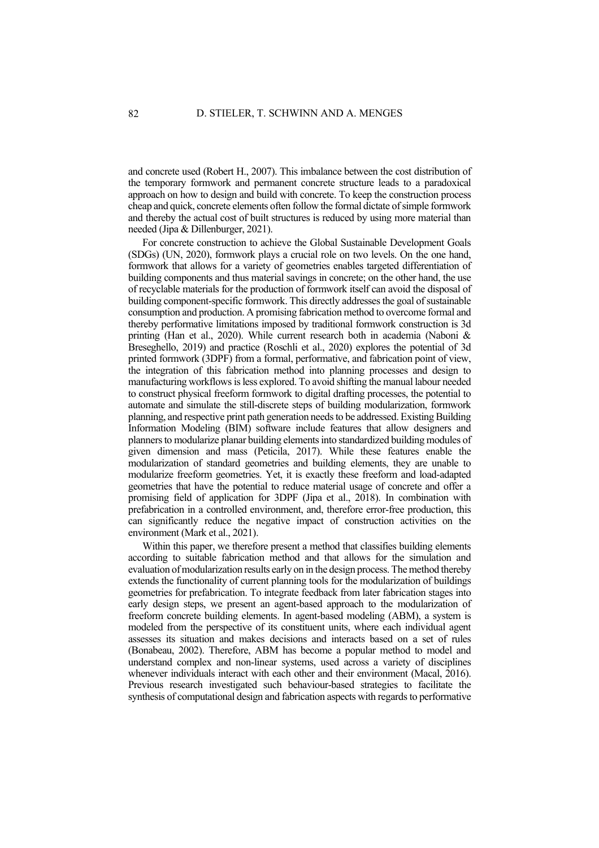and concrete used (Robert H., 2007). This imbalance between the cost distribution of the temporary formwork and permanent concrete structure leads to a paradoxical approach on how to design and build with concrete. To keep the construction process cheap and quick, concrete elements often follow the formal dictate of simple formwork and thereby the actual cost of built structures is reduced by using more material than needed (Jipa & Dillenburger, 2021).

For concrete construction to achieve the Global Sustainable Development Goals (SDGs) (UN, 2020), formwork plays a crucial role on two levels. On the one hand, formwork that allows for a variety of geometries enables targeted differentiation of building components and thus material savings in concrete; on the other hand, the use of recyclable materials for the production of formwork itself can avoid the disposal of building component-specific formwork. This directly addresses the goal of sustainable consumption and production. A promising fabrication method to overcome formal and thereby performative limitations imposed by traditional formwork construction is 3d printing (Han et al., 2020). While current research both in academia (Naboni & Breseghello, 2019) and practice (Roschli et al., 2020) explores the potential of 3d printed formwork (3DPF) from a formal, performative, and fabrication point of view, the integration of this fabrication method into planning processes and design to manufacturing workflows is less explored. To avoid shifting the manual labour needed to construct physical freeform formwork to digital drafting processes, the potential to automate and simulate the still-discrete steps of building modularization, formwork planning, and respective print path generation needs to be addressed. Existing Building Information Modeling (BIM) software include features that allow designers and planners to modularize planar building elements into standardized building modules of given dimension and mass (Peticila, 2017). While these features enable the modularization of standard geometries and building elements, they are unable to modularize freeform geometries. Yet, it is exactly these freeform and load-adapted geometries that have the potential to reduce material usage of concrete and offer a promising field of application for 3DPF (Jipa et al., 2018). In combination with prefabrication in a controlled environment, and, therefore error-free production, this can significantly reduce the negative impact of construction activities on the environment (Mark et al., 2021).

Within this paper, we therefore present a method that classifies building elements according to suitable fabrication method and that allows for the simulation and evaluation of modularization results early on in the design process. The method thereby extends the functionality of current planning tools for the modularization of buildings geometries for prefabrication. To integrate feedback from later fabrication stages into early design steps, we present an agent-based approach to the modularization of freeform concrete building elements. In agent-based modeling (ABM), a system is modeled from the perspective of its constituent units, where each individual agent assesses its situation and makes decisions and interacts based on a set of rules (Bonabeau, 2002). Therefore, ABM has become a popular method to model and understand complex and non-linear systems, used across a variety of disciplines whenever individuals interact with each other and their environment (Macal, 2016). Previous research investigated such behaviour-based strategies to facilitate the synthesis of computational design and fabrication aspects with regards to performative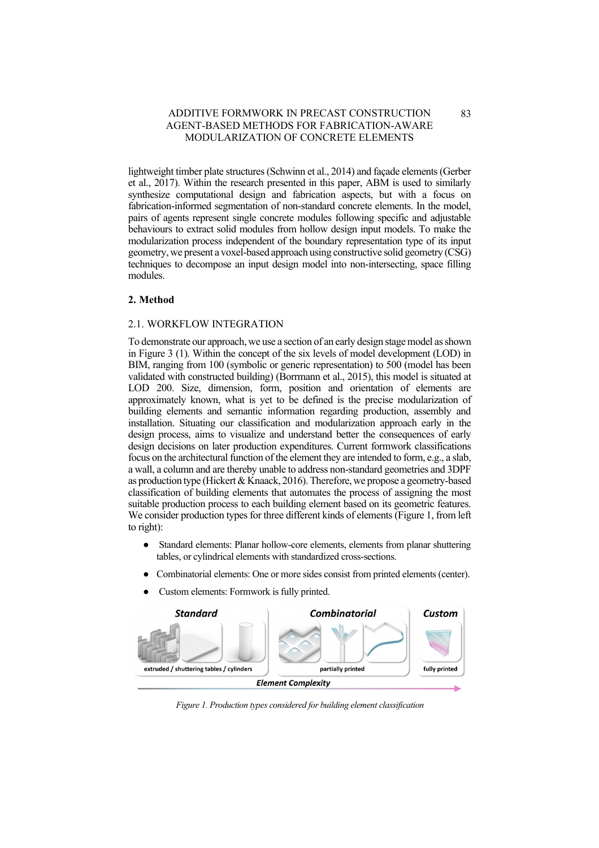lightweight timber plate structures (Schwinn et al., 2014) and façade elements (Gerber et al., 2017). Within the research presented in this paper, ABM is used to similarly synthesize computational design and fabrication aspects, but with a focus on fabrication-informed segmentation of non-standard concrete elements. In the model, pairs of agents represent single concrete modules following specific and adjustable behaviours to extract solid modules from hollow design input models. To make the modularization process independent of the boundary representation type of its input geometry, we present a voxel-based approach using constructive solid geometry (CSG) techniques to decompose an input design model into non-intersecting, space filling modules.

### **2. Method**

## 2.1. WORKFLOW INTEGRATION

To demonstrate our approach, we use a section of an early design stage model as shown in [Figure 3](#page-4-0) (1). Within the concept of the six levels of model development (LOD) in BIM, ranging from 100 (symbolic or generic representation) to 500 (model has been validated with constructed building) (Borrmann et al., 2015), this model is situated at LOD 200. Size, dimension, form, position and orientation of elements are approximately known, what is yet to be defined is the precise modularization of building elements and semantic information regarding production, assembly and installation. Situating our classification and modularization approach early in the design process, aims to visualize and understand better the consequences of early design decisions on later production expenditures. Current formwork classifications focus on the architectural function of the element they are intended to form, e.g., a slab, a wall, a column and are thereby unable to address non-standard geometries and 3DPF as production type (Hickert & Knaack, 2016). Therefore, we propose a geometry-based classification of building elements that automates the process of assigning the most suitable production process to each building element based on its geometric features. We consider production types for three different kinds of elements [\(Figure 1,](#page-2-0) from left to right):

- Standard elements: Planar hollow-core elements, elements from planar shuttering tables, or cylindrical elements with standardized cross-sections.
- Combinatorial elements: One or more sides consist from printed elements (center).
- Custom elements: Formwork is fully printed.



<span id="page-2-0"></span>*Figure 1. Production types considered for building element classification*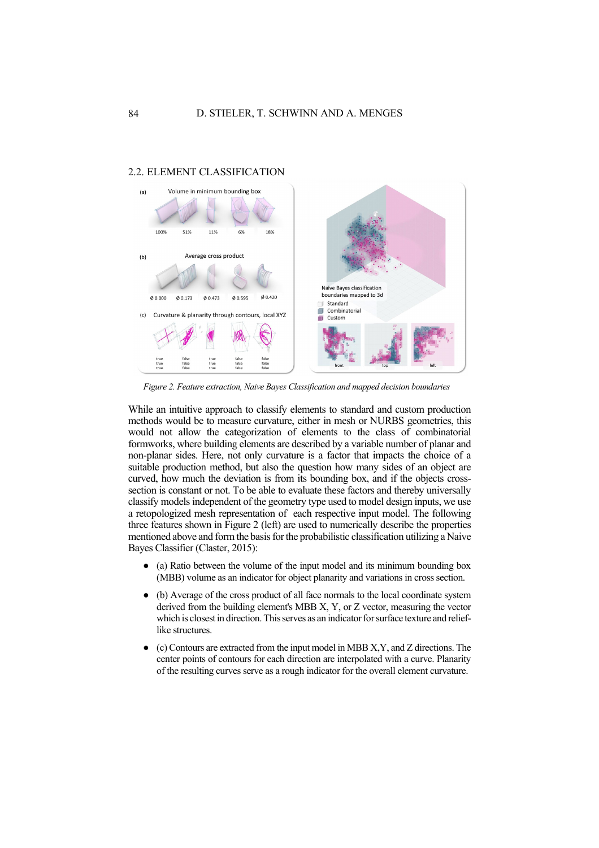

### 2.2. ELEMENT CLASSIFICATION

<span id="page-3-0"></span>*Figure 2. Feature extraction, Naive Bayes Classification and mapped decision boundaries*

While an intuitive approach to classify elements to standard and custom production methods would be to measure curvature, either in mesh or NURBS geometries, this would not allow the categorization of elements to the class of combinatorial formworks, where building elements are described by a variable number of planar and non-planar sides. Here, not only curvature is a factor that impacts the choice of a suitable production method, but also the question how many sides of an object are curved, how much the deviation is from its bounding box, and if the objects crosssection is constant or not. To be able to evaluate these factors and thereby universally classify models independent of the geometry type used to model design inputs, we use a retopologized mesh representation of each respective input model. The following three features shown in [Figure 2](#page-3-0) (left) are used to numerically describe the properties mentioned above and form the basis for the probabilistic classification utilizing a Naive Bayes Classifier (Claster, 2015):

- (a) Ratio between the volume of the input model and its minimum bounding box (MBB) volume as an indicator for object planarity and variations in cross section.
- (b) Average of the cross product of all face normals to the local coordinate system derived from the building element's MBB X, Y, or Z vector, measuring the vector which is closest in direction. This serves as an indicator for surface texture and relieflike structures.
- $\alpha$  (c) Contours are extracted from the input model in MBB X, Y, and Z directions. The center points of contours for each direction are interpolated with a curve. Planarity of the resulting curves serve as a rough indicator for the overall element curvature.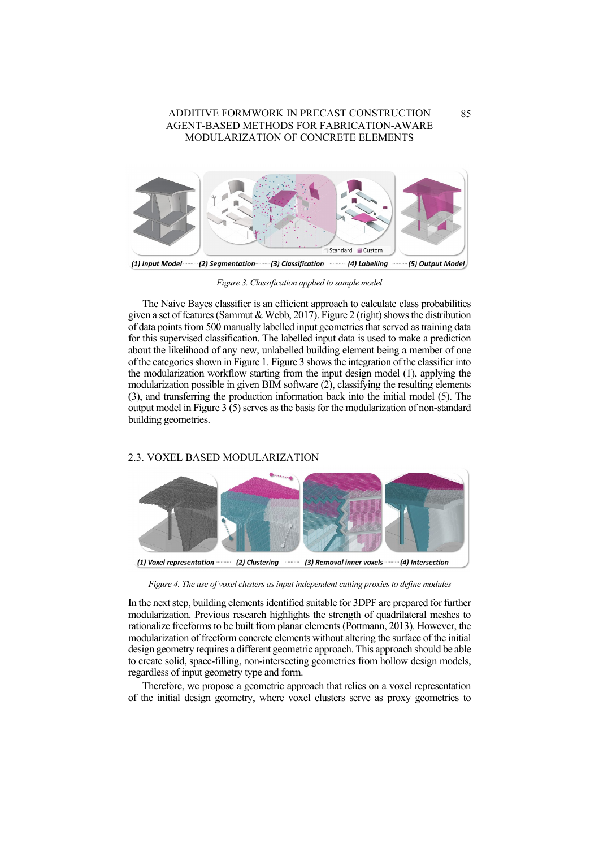

*Figure 3. Classification applied to sample model*

<span id="page-4-0"></span>The Naive Bayes classifier is an efficient approach to calculate class probabilities given a set of features (Sammut & Webb, 2017)[. Figure 2](#page-3-0) (right) shows the distribution of data points from 500 manually labelled input geometries that served as training data for this supervised classification. The labelled input data is used to make a prediction about the likelihood of any new, unlabelled building element being a member of one of the categories shown in [Figure 1.](#page-2-0) [Figure 3](#page-4-0) shows the integration of the classifier into the modularization workflow starting from the input design model (1), applying the modularization possible in given BIM software (2), classifying the resulting elements (3), and transferring the production information back into the initial model (5). The output model i[n Figure 3](#page-4-0) (5) serves as the basis for the modularization of non-standard building geometries.

### 2.3. VOXEL BASED MODULARIZATION



<span id="page-4-1"></span>*Figure 4. The use of voxel clusters as input independent cutting proxies to define modules*

In the next step, building elements identified suitable for 3DPF are prepared for further modularization. Previous research highlights the strength of quadrilateral meshes to rationalize freeforms to be built from planar elements (Pottmann, 2013). However, the modularization of freeform concrete elements without altering the surface of the initial design geometry requires a different geometric approach. This approach should be able to create solid, space-filling, non-intersecting geometries from hollow design models, regardless of input geometry type and form.

Therefore, we propose a geometric approach that relies on a voxel representation of the initial design geometry, where voxel clusters serve as proxy geometries to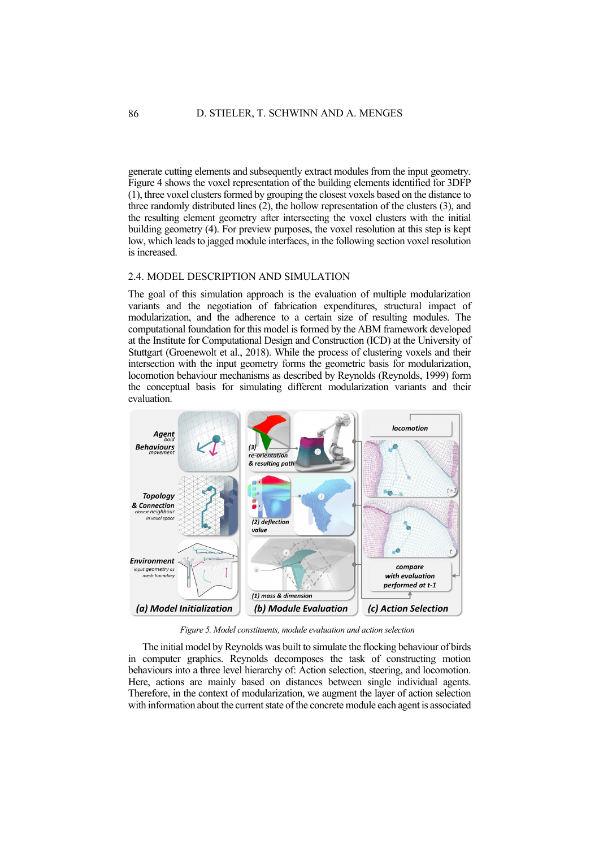generate cutting elements and subsequently extract modules from the input geometry. [Figure 4](#page-4-1) shows the voxel representation of the building elements identified for 3DFP (1), three voxel clusters formed by grouping the closest voxels based on the distance to three randomly distributed lines (2), the hollow representation of the clusters (3), and the resulting element geometry after intersecting the voxel clusters with the initial building geometry (4). For preview purposes, the voxel resolution at this step is kept low, which leads to jagged module interfaces, in the following section voxel resolution is increased.

### 2.4. MODEL DESCRIPTION AND SIMULATION

The goal of this simulation approach is the evaluation of multiple modularization variants and the negotiation of fabrication expenditures, structural impact of modularization, and the adherence to a certain size of resulting modules. The computational foundation for this model is formed by the ABM framework developed at the Institute for Computational Design and Construction (ICD) at the University of Stuttgart (Groenewolt et al., 2018). While the process of clustering voxels and their intersection with the input geometry forms the geometric basis for modularization, locomotion behaviour mechanisms as described by Reynolds (Reynolds, 1999) form the conceptual basis for simulating different modularization variants and their evaluation.



*Figure 5. Model constituents, module evaluation and action selection*

<span id="page-5-0"></span>The initial model by Reynolds was built to simulate the flocking behaviour of birds in computer graphics. Reynolds decomposes the task of constructing motion behaviours into a three level hierarchy of: Action selection, steering, and locomotion. Here, actions are mainly based on distances between single individual agents. Therefore, in the context of modularization, we augment the layer of action selection with information about the current state of the concrete module each agent is associated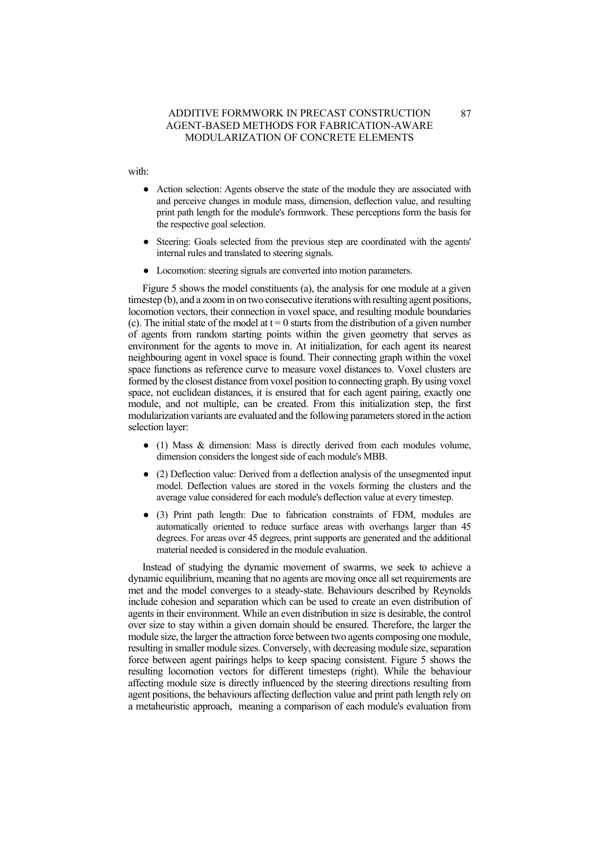with:

- Action selection: Agents observe the state of the module they are associated with and perceive changes in module mass, dimension, deflection value, and resulting print path length for the module's formwork. These perceptions form the basis for the respective goal selection.
- Steering: Goals selected from the previous step are coordinated with the agents' internal rules and translated to steering signals.
- Locomotion: steering signals are converted into motion parameters.

[Figure 5](#page-5-0) shows the model constituents (a), the analysis for one module at a given timestep (b), and a zoom in on two consecutive iterations with resulting agent positions, locomotion vectors, their connection in voxel space, and resulting module boundaries (c). The initial state of the model at  $t = 0$  starts from the distribution of a given number of agents from random starting points within the given geometry that serves as environment for the agents to move in. At initialization, for each agent its nearest neighbouring agent in voxel space is found. Their connecting graph within the voxel space functions as reference curve to measure voxel distances to. Voxel clusters are formed by the closest distance from voxel position to connecting graph. By using voxel space, not euclidean distances, it is ensured that for each agent pairing, exactly one module, and not multiple, can be created. From this initialization step, the first modularization variants are evaluated and the following parameters stored in the action selection layer:

- (1) Mass & dimension: Mass is directly derived from each modules volume, dimension considers the longest side of each module's MBB.
- (2) Deflection value: Derived from a deflection analysis of the unsegmented input model. Deflection values are stored in the voxels forming the clusters and the average value considered for each module's deflection value at every timestep.
- (3) Print path length: Due to fabrication constraints of FDM, modules are automatically oriented to reduce surface areas with overhangs larger than 45 degrees. For areas over 45 degrees, print supports are generated and the additional material needed is considered in the module evaluation.

Instead of studying the dynamic movement of swarms, we seek to achieve a dynamic equilibrium, meaning that no agents are moving once all set requirements are met and the model converges to a steady-state. Behaviours described by Reynolds include cohesion and separation which can be used to create an even distribution of agents in their environment. While an even distribution in size is desirable, the control over size to stay within a given domain should be ensured. Therefore, the larger the module size, the larger the attraction force between two agents composing one module, resulting in smaller module sizes. Conversely, with decreasing module size, separation force between agent pairings helps to keep spacing consistent. [Figure 5](#page-5-0) shows the resulting locomotion vectors for different timesteps (right). While the behaviour affecting module size is directly influenced by the steering directions resulting from agent positions, the behaviours affecting deflection value and print path length rely on a metaheuristic approach, meaning a comparison of each module's evaluation from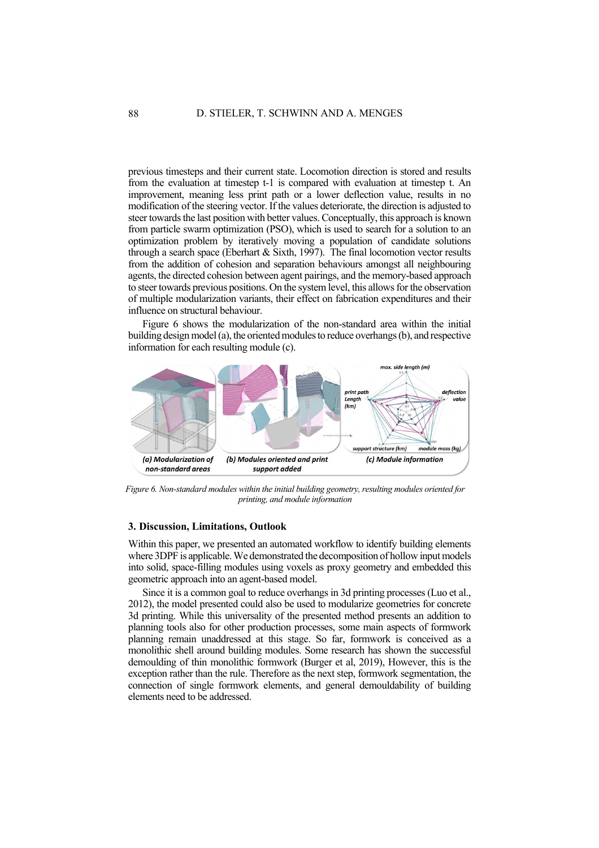previous timesteps and their current state. Locomotion direction is stored and results from the evaluation at timestep t-1 is compared with evaluation at timestep t. An improvement, meaning less print path or a lower deflection value, results in no modification of the steering vector. If the values deteriorate, the direction is adjusted to steer towards the last position with better values. Conceptually, this approach is known from particle swarm optimization (PSO), which is used to search for a solution to an optimization problem by iteratively moving a population of candidate solutions through a search space (Eberhart & Sixth, 1997). The final locomotion vector results from the addition of cohesion and separation behaviours amongst all neighbouring agents, the directed cohesion between agent pairings, and the memory-based approach to steer towards previous positions. On the system level, this allows for the observation of multiple modularization variants, their effect on fabrication expenditures and their influence on structural behaviour.

[Figure 6](#page-7-0) shows the modularization of the non-standard area within the initial building design model (a), the oriented modules to reduce overhangs (b), and respective information for each resulting module (c).



<span id="page-7-0"></span>*Figure 6. Non-standard modules within the initial building geometry, resulting modules oriented for printing, and module information*

## **3. Discussion, Limitations, Outlook**

Within this paper, we presented an automated workflow to identify building elements where 3DPF is applicable. We demonstrated the decomposition of hollow input models into solid, space-filling modules using voxels as proxy geometry and embedded this geometric approach into an agent-based model.

Since it is a common goal to reduce overhangs in 3d printing processes (Luo et al., 2012), the model presented could also be used to modularize geometries for concrete 3d printing. While this universality of the presented method presents an addition to planning tools also for other production processes, some main aspects of formwork planning remain unaddressed at this stage. So far, formwork is conceived as a monolithic shell around building modules. Some research has shown the successful demoulding of thin monolithic formwork (Burger et al, 2019), However, this is the exception rather than the rule. Therefore as the next step, formwork segmentation, the connection of single formwork elements, and general demouldability of building elements need to be addressed.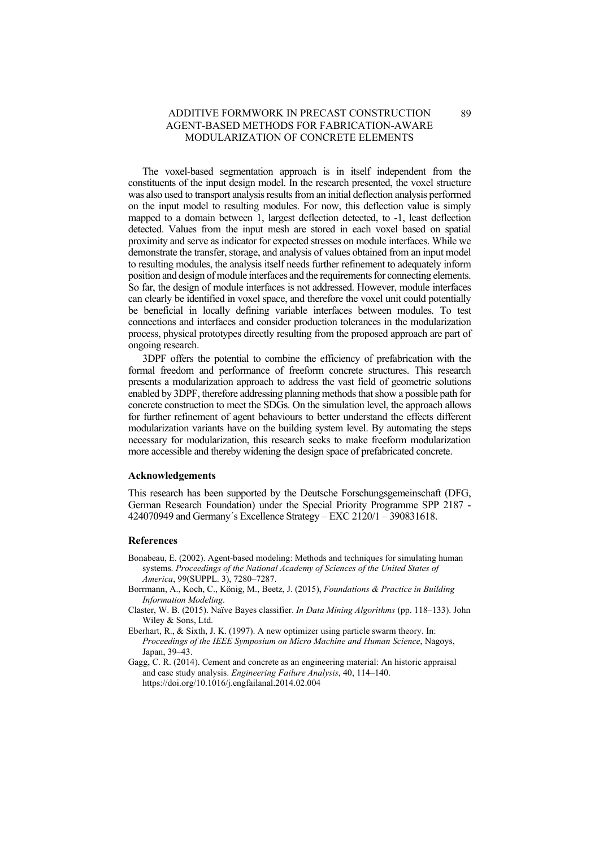The voxel-based segmentation approach is in itself independent from the constituents of the input design model. In the research presented, the voxel structure was also used to transport analysis results from an initial deflection analysis performed on the input model to resulting modules. For now, this deflection value is simply mapped to a domain between 1, largest deflection detected, to -1, least deflection detected. Values from the input mesh are stored in each voxel based on spatial proximity and serve as indicator for expected stresses on module interfaces. While we demonstrate the transfer, storage, and analysis of values obtained from an input model to resulting modules, the analysis itself needs further refinement to adequately inform position and design of module interfaces and the requirements for connecting elements. So far, the design of module interfaces is not addressed. However, module interfaces can clearly be identified in voxel space, and therefore the voxel unit could potentially be beneficial in locally defining variable interfaces between modules. To test connections and interfaces and consider production tolerances in the modularization process, physical prototypes directly resulting from the proposed approach are part of ongoing research.

3DPF offers the potential to combine the efficiency of prefabrication with the formal freedom and performance of freeform concrete structures. This research presents a modularization approach to address the vast field of geometric solutions enabled by 3DPF, therefore addressing planning methods that show a possible path for concrete construction to meet the SDGs. On the simulation level, the approach allows for further refinement of agent behaviours to better understand the effects different modularization variants have on the building system level. By automating the steps necessary for modularization, this research seeks to make freeform modularization more accessible and thereby widening the design space of prefabricated concrete.

#### **Acknowledgements**

This research has been supported by the Deutsche Forschungsgemeinschaft (DFG, German Research Foundation) under the Special Priority Programme SPP 2187 - 424070949 and Germany´s Excellence Strategy – EXC 2120/1 – 390831618.

#### **References**

- Bonabeau, E. (2002). Agent-based modeling: Methods and techniques for simulating human systems. *Proceedings of the National Academy of Sciences of the United States of America*, 99(SUPPL. 3), 7280–7287.
- Borrmann, A., Koch, C., König, M., Beetz, J. (2015), *Foundations & Practice in Building Information Modeling*.
- Claster, W. B. (2015). Naïve Bayes classifier. *In Data Mining Algorithms* (pp. 118–133). John Wiley & Sons, Ltd.
- Eberhart, R., & Sixth, J. K. (1997). A new optimizer using particle swarm theory. In: *Proceedings of the IEEE Symposium on Micro Machine and Human Science*, Nagoys, Japan, 39–43.
- Gagg, C. R. (2014). Cement and concrete as an engineering material: An historic appraisal and case study analysis. *Engineering Failure Analysis*, 40, 114–140. https://doi.org/10.1016/j.engfailanal.2014.02.004